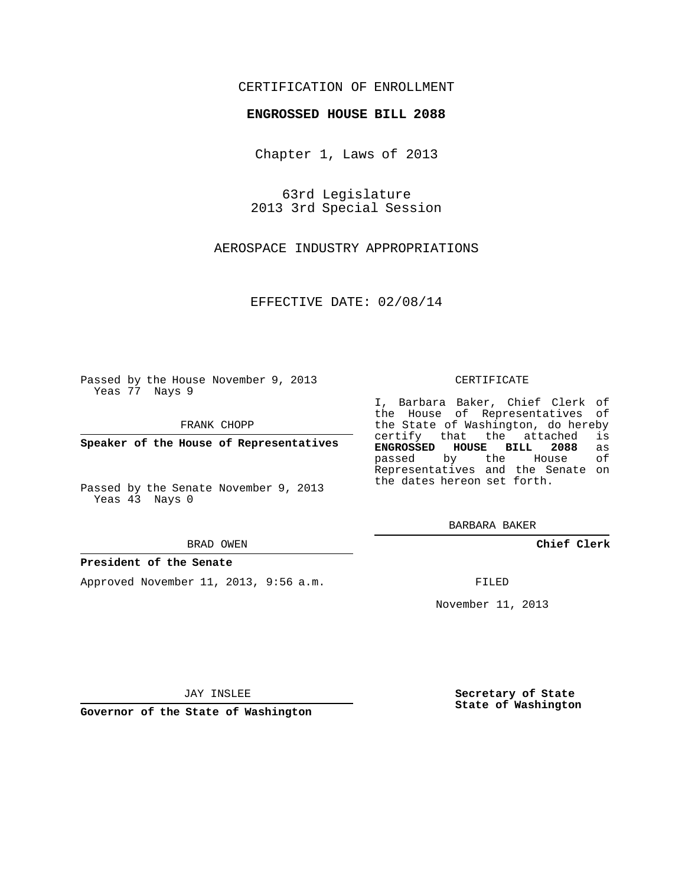### CERTIFICATION OF ENROLLMENT

#### **ENGROSSED HOUSE BILL 2088**

Chapter 1, Laws of 2013

63rd Legislature 2013 3rd Special Session

AEROSPACE INDUSTRY APPROPRIATIONS

EFFECTIVE DATE: 02/08/14

Passed by the House November 9, 2013 Yeas 77 Nays 9

FRANK CHOPP

**Speaker of the House of Representatives**

Passed by the Senate November 9, 2013 Yeas 43 Nays 0

#### BRAD OWEN

### **President of the Senate**

Approved November 11, 2013, 9:56 a.m.

CERTIFICATE

I, Barbara Baker, Chief Clerk of the House of Representatives of the State of Washington, do hereby<br>certify that the attached is certify that the attached **ENGROSSED HOUSE BILL 2088** as passed by the House Representatives and the Senate on the dates hereon set forth.

BARBARA BAKER

**Chief Clerk**

FILED

November 11, 2013

JAY INSLEE

**Governor of the State of Washington**

**Secretary of State State of Washington**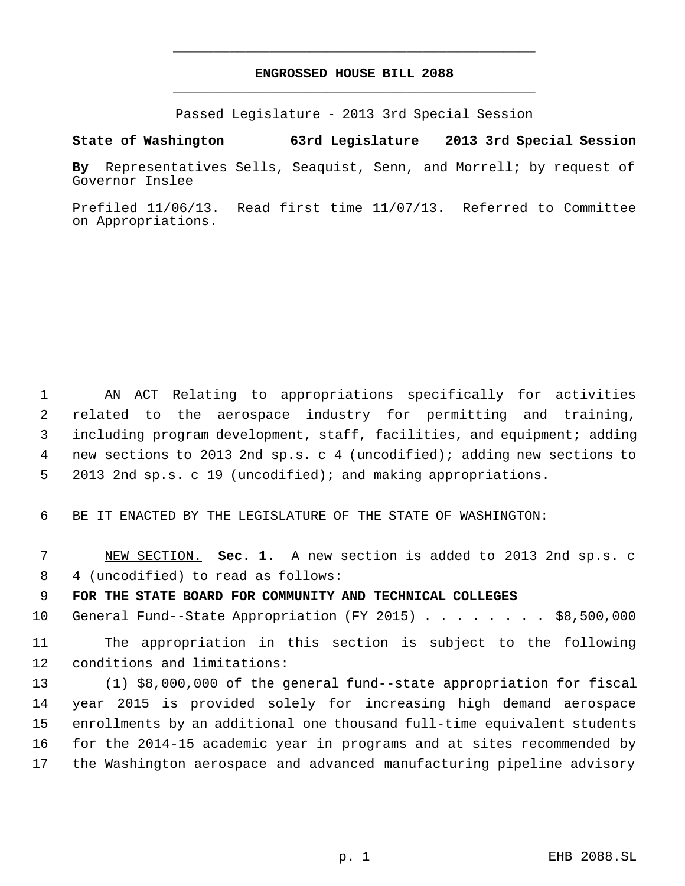### **ENGROSSED HOUSE BILL 2088** \_\_\_\_\_\_\_\_\_\_\_\_\_\_\_\_\_\_\_\_\_\_\_\_\_\_\_\_\_\_\_\_\_\_\_\_\_\_\_\_\_\_\_\_\_

\_\_\_\_\_\_\_\_\_\_\_\_\_\_\_\_\_\_\_\_\_\_\_\_\_\_\_\_\_\_\_\_\_\_\_\_\_\_\_\_\_\_\_\_\_

Passed Legislature - 2013 3rd Special Session

**State of Washington 63rd Legislature 2013 3rd Special Session**

**By** Representatives Sells, Seaquist, Senn, and Morrell; by request of Governor Inslee

Prefiled 11/06/13. Read first time 11/07/13. Referred to Committee on Appropriations.

 AN ACT Relating to appropriations specifically for activities related to the aerospace industry for permitting and training, including program development, staff, facilities, and equipment; adding new sections to 2013 2nd sp.s. c 4 (uncodified); adding new sections to 2013 2nd sp.s. c 19 (uncodified); and making appropriations.

BE IT ENACTED BY THE LEGISLATURE OF THE STATE OF WASHINGTON:

 NEW SECTION. **Sec. 1.** A new section is added to 2013 2nd sp.s. c 4 (uncodified) to read as follows:

**FOR THE STATE BOARD FOR COMMUNITY AND TECHNICAL COLLEGES**

General Fund--State Appropriation (FY 2015) . . . . . . . . \$8,500,000

 The appropriation in this section is subject to the following conditions and limitations:

 (1) \$8,000,000 of the general fund--state appropriation for fiscal year 2015 is provided solely for increasing high demand aerospace enrollments by an additional one thousand full-time equivalent students for the 2014-15 academic year in programs and at sites recommended by the Washington aerospace and advanced manufacturing pipeline advisory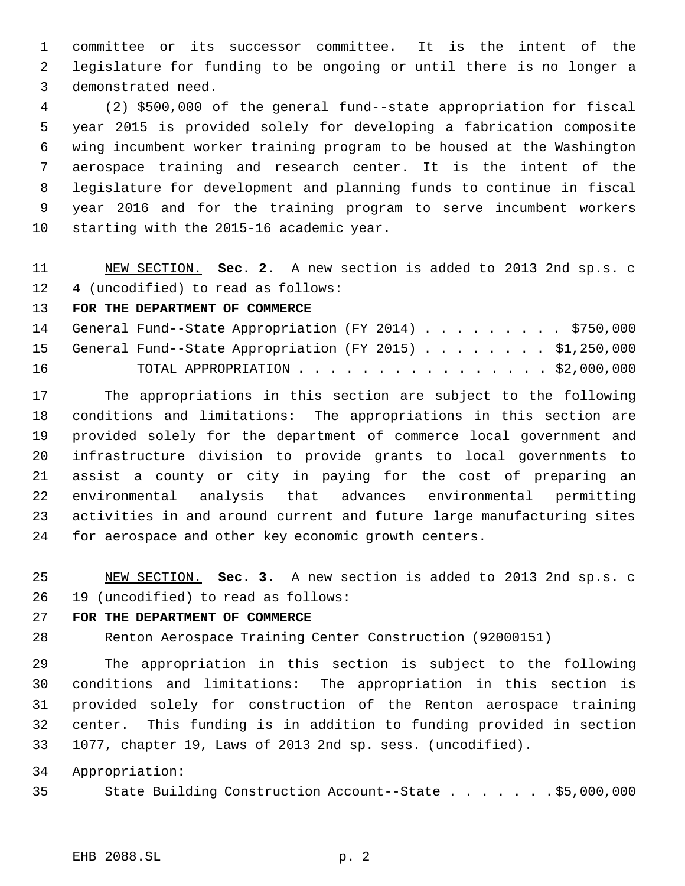committee or its successor committee. It is the intent of the legislature for funding to be ongoing or until there is no longer a demonstrated need.

 (2) \$500,000 of the general fund--state appropriation for fiscal year 2015 is provided solely for developing a fabrication composite wing incumbent worker training program to be housed at the Washington aerospace training and research center. It is the intent of the legislature for development and planning funds to continue in fiscal year 2016 and for the training program to serve incumbent workers starting with the 2015-16 academic year.

 NEW SECTION. **Sec. 2.** A new section is added to 2013 2nd sp.s. c 4 (uncodified) to read as follows:

**FOR THE DEPARTMENT OF COMMERCE**

|    | 14 General Fund--State Appropriation (FY 2014) \$750,000   |  |  |  |  |  |  |
|----|------------------------------------------------------------|--|--|--|--|--|--|
|    | 15 General Fund--State Appropriation (FY 2015) \$1,250,000 |  |  |  |  |  |  |
| 16 | TOTAL APPROPRIATION $\cdots$ \$2,000,000                   |  |  |  |  |  |  |

 The appropriations in this section are subject to the following conditions and limitations: The appropriations in this section are provided solely for the department of commerce local government and infrastructure division to provide grants to local governments to assist a county or city in paying for the cost of preparing an environmental analysis that advances environmental permitting activities in and around current and future large manufacturing sites for aerospace and other key economic growth centers.

 NEW SECTION. **Sec. 3.** A new section is added to 2013 2nd sp.s. c 19 (uncodified) to read as follows:

# **FOR THE DEPARTMENT OF COMMERCE**

Renton Aerospace Training Center Construction (92000151)

 The appropriation in this section is subject to the following conditions and limitations: The appropriation in this section is provided solely for construction of the Renton aerospace training center. This funding is in addition to funding provided in section 1077, chapter 19, Laws of 2013 2nd sp. sess. (uncodified).

Appropriation:

State Building Construction Account--State . . . . . . . \$5,000,000